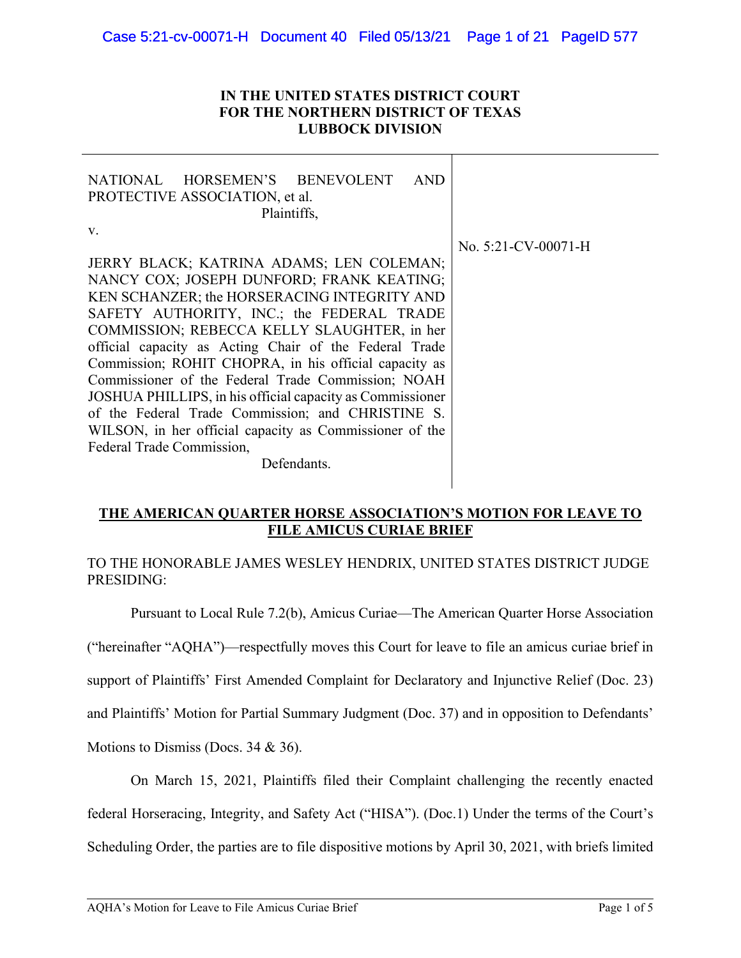## **IN THE UNITED STATES DISTRICT COURT FOR THE NORTHERN DISTRICT OF TEXAS LUBBOCK DIVISION**

| NATIONAL HORSEMEN'S BENEVOLENT<br>AND<br>PROTECTIVE ASSOCIATION, et al.<br>Plaintiffs, |                     |
|----------------------------------------------------------------------------------------|---------------------|
| V.                                                                                     |                     |
|                                                                                        | No. 5:21-CV-00071-H |
| JERRY BLACK; KATRINA ADAMS; LEN COLEMAN;                                               |                     |
| NANCY COX; JOSEPH DUNFORD; FRANK KEATING;                                              |                     |
| KEN SCHANZER; the HORSERACING INTEGRITY AND                                            |                     |
| SAFETY AUTHORITY, INC.; the FEDERAL TRADE                                              |                     |
| COMMISSION; REBECCA KELLY SLAUGHTER, in her                                            |                     |
| official capacity as Acting Chair of the Federal Trade                                 |                     |
| Commission; ROHIT CHOPRA, in his official capacity as                                  |                     |
| Commissioner of the Federal Trade Commission; NOAH                                     |                     |
| JOSHUA PHILLIPS, in his official capacity as Commissioner                              |                     |
| of the Federal Trade Commission; and CHRISTINE S.                                      |                     |
| WILSON, in her official capacity as Commissioner of the                                |                     |
| Federal Trade Commission,                                                              |                     |
| Defendants.                                                                            |                     |

# **THE AMERICAN QUARTER HORSE ASSOCIATION'S MOTION FOR LEAVE TO FILE AMICUS CURIAE BRIEF**

# TO THE HONORABLE JAMES WESLEY HENDRIX, UNITED STATES DISTRICT JUDGE PRESIDING:

Pursuant to Local Rule 7.2(b), Amicus Curiae—The American Quarter Horse Association

("hereinafter "AQHA")—respectfully moves this Court for leave to file an amicus curiae brief in

support of Plaintiffs' First Amended Complaint for Declaratory and Injunctive Relief (Doc. 23)

and Plaintiffs' Motion for Partial Summary Judgment (Doc. 37) and in opposition to Defendants'

Motions to Dismiss (Docs. 34 & 36).

On March 15, 2021, Plaintiffs filed their Complaint challenging the recently enacted

federal Horseracing, Integrity, and Safety Act ("HISA"). (Doc.1) Under the terms of the Court's

Scheduling Order, the parties are to file dispositive motions by April 30, 2021, with briefs limited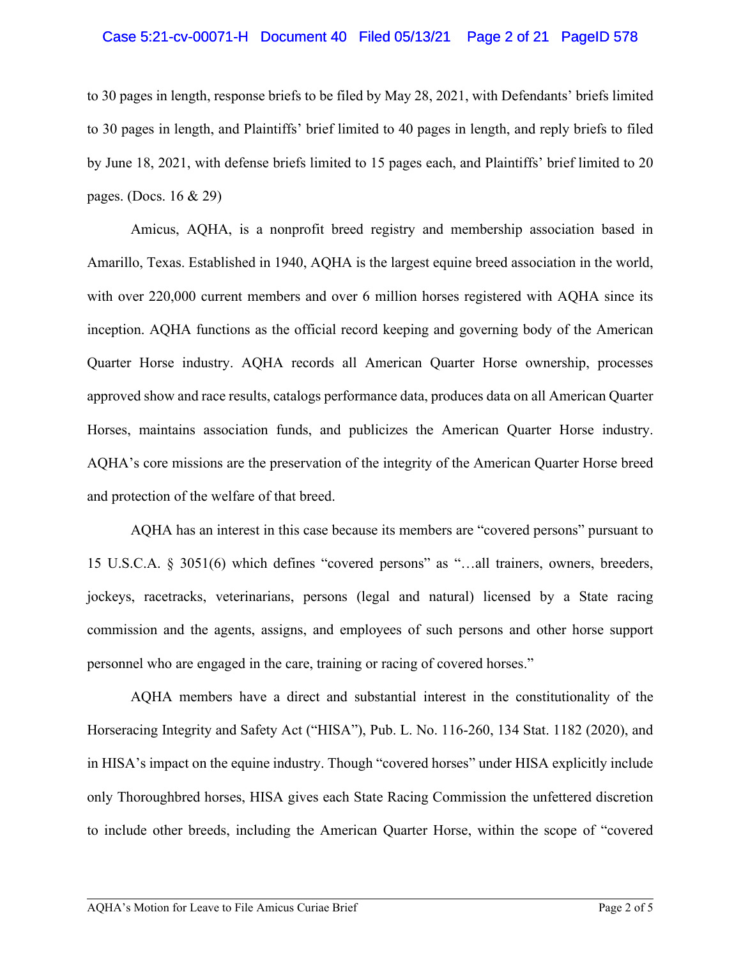## Case 5:21-cv-00071-H Document 40 Filed 05/13/21 Page 2 of 21 PageID 578

to 30 pages in length, response briefs to be filed by May 28, 2021, with Defendants' briefs limited to 30 pages in length, and Plaintiffs' brief limited to 40 pages in length, and reply briefs to filed by June 18, 2021, with defense briefs limited to 15 pages each, and Plaintiffs' brief limited to 20 pages. (Docs. 16 & 29)

Amicus, AQHA, is a nonprofit breed registry and membership association based in Amarillo, Texas. Established in 1940, AQHA is the largest equine breed association in the world, with over 220,000 current members and over 6 million horses registered with AQHA since its inception. AQHA functions as the official record keeping and governing body of the American Quarter Horse industry. AQHA records all American Quarter Horse ownership, processes approved show and race results, catalogs performance data, produces data on all American Quarter Horses, maintains association funds, and publicizes the American Quarter Horse industry. AQHA's core missions are the preservation of the integrity of the American Quarter Horse breed and protection of the welfare of that breed.

AQHA has an interest in this case because its members are "covered persons" pursuant to 15 U.S.C.A. § 3051(6) which defines "covered persons" as "…all trainers, owners, breeders, jockeys, racetracks, veterinarians, persons (legal and natural) licensed by a State racing commission and the agents, assigns, and employees of such persons and other horse support personnel who are engaged in the care, training or racing of covered horses."

AQHA members have a direct and substantial interest in the constitutionality of the Horseracing Integrity and Safety Act ("HISA"), Pub. L. No. 116-260, 134 Stat. 1182 (2020), and in HISA's impact on the equine industry. Though "covered horses" under HISA explicitly include only Thoroughbred horses, HISA gives each State Racing Commission the unfettered discretion to include other breeds, including the American Quarter Horse, within the scope of "covered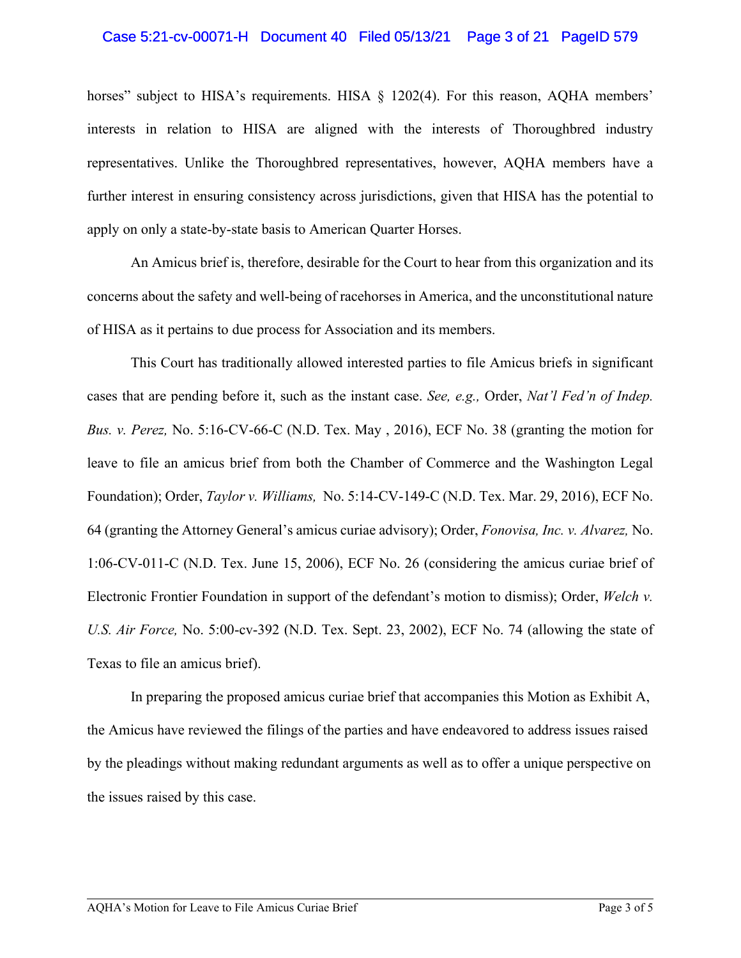## Case 5:21-cv-00071-H Document 40 Filed 05/13/21 Page 3 of 21 PageID 579

horses" subject to HISA's requirements. HISA  $\S$  1202(4). For this reason, AQHA members' interests in relation to HISA are aligned with the interests of Thoroughbred industry representatives. Unlike the Thoroughbred representatives, however, AQHA members have a further interest in ensuring consistency across jurisdictions, given that HISA has the potential to apply on only a state-by-state basis to American Quarter Horses.

An Amicus brief is, therefore, desirable for the Court to hear from this organization and its concerns about the safety and well-being of racehorses in America, and the unconstitutional nature of HISA as it pertains to due process for Association and its members.

This Court has traditionally allowed interested parties to file Amicus briefs in significant cases that are pending before it, such as the instant case. *See, e.g.,* Order, *Nat'l Fed'n of Indep. Bus. v. Perez,* No. 5:16-CV-66-C (N.D. Tex. May , 2016), ECF No. 38 (granting the motion for leave to file an amicus brief from both the Chamber of Commerce and the Washington Legal Foundation); Order, *Taylor v. Williams,* No. 5:14-CV-149-C (N.D. Tex. Mar. 29, 2016), ECF No. 64 (granting the Attorney General's amicus curiae advisory); Order, *Fonovisa, Inc. v. Alvarez,* No. 1:06-CV-011-C (N.D. Tex. June 15, 2006), ECF No. 26 (considering the amicus curiae brief of Electronic Frontier Foundation in support of the defendant's motion to dismiss); Order, *Welch v. U.S. Air Force,* No. 5:00-cv-392 (N.D. Tex. Sept. 23, 2002), ECF No. 74 (allowing the state of Texas to file an amicus brief).

In preparing the proposed amicus curiae brief that accompanies this Motion as Exhibit A, the Amicus have reviewed the filings of the parties and have endeavored to address issues raised by the pleadings without making redundant arguments as well as to offer a unique perspective on the issues raised by this case.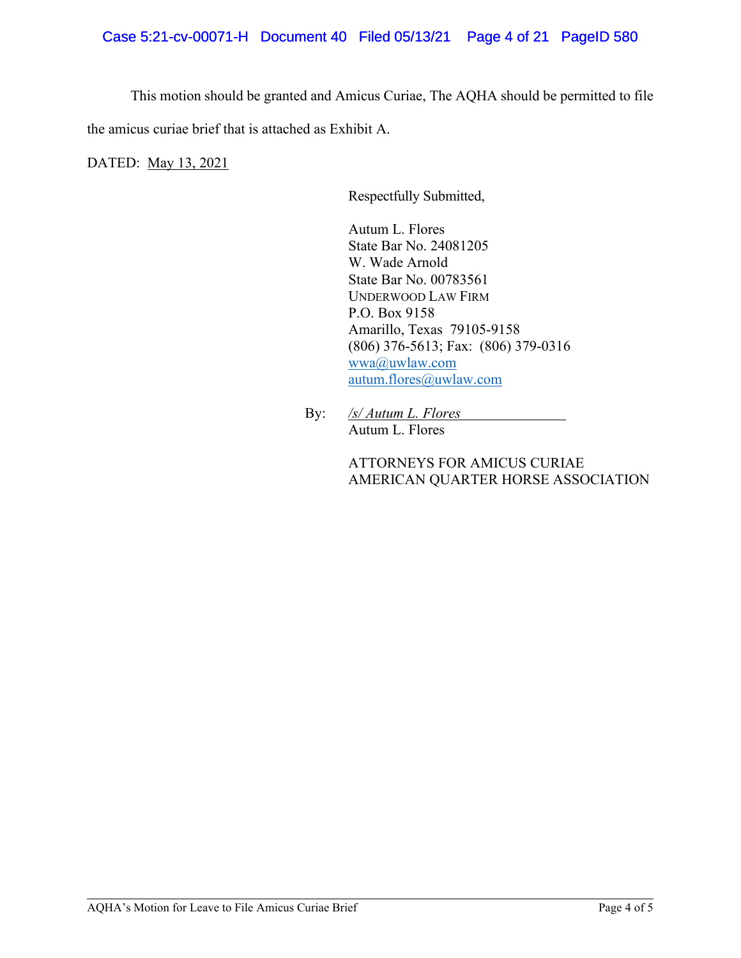This motion should be granted and Amicus Curiae, The AQHA should be permitted to file the amicus curiae brief that is attached as Exhibit A.

DATED: May 13, 2021

Respectfully Submitted,

Autum L. Flores State Bar No. 24081205 W. Wade Arnold State Bar No. 00783561 UNDERWOOD LAW FIRM P.O. Box 9158 Amarillo, Texas 79105-9158 (806) 376-5613; Fax: (806) 379-0316 [wwa@uwlaw.com](mailto:wwa@uwlaw.com) [autum.flores@uwlaw.com](mailto:autum.flores@uwlaw.com)

By: */s/ Autum L. Flores*  Autum L. Flores

> ATTORNEYS FOR AMICUS CURIAE AMERICAN QUARTER HORSE ASSOCIATION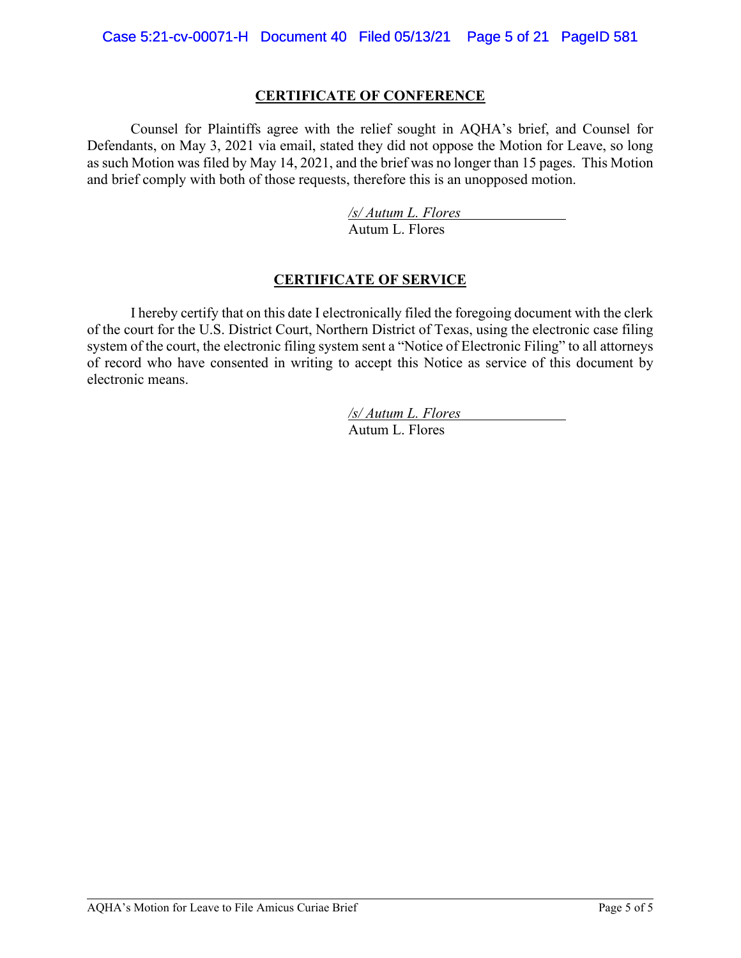# **CERTIFICATE OF CONFERENCE**

Counsel for Plaintiffs agree with the relief sought in AQHA's brief, and Counsel for Defendants, on May 3, 2021 via email, stated they did not oppose the Motion for Leave, so long as such Motion was filed by May 14, 2021, and the brief was no longer than 15 pages. This Motion and brief comply with both of those requests, therefore this is an unopposed motion.

> */s/ Autum L. Flores* Autum L. Flores

# **CERTIFICATE OF SERVICE**

I hereby certify that on this date I electronically filed the foregoing document with the clerk of the court for the U.S. District Court, Northern District of Texas, using the electronic case filing system of the court, the electronic filing system sent a "Notice of Electronic Filing" to all attorneys of record who have consented in writing to accept this Notice as service of this document by electronic means.

> */s/ Autum L. Flores* Autum L. Flores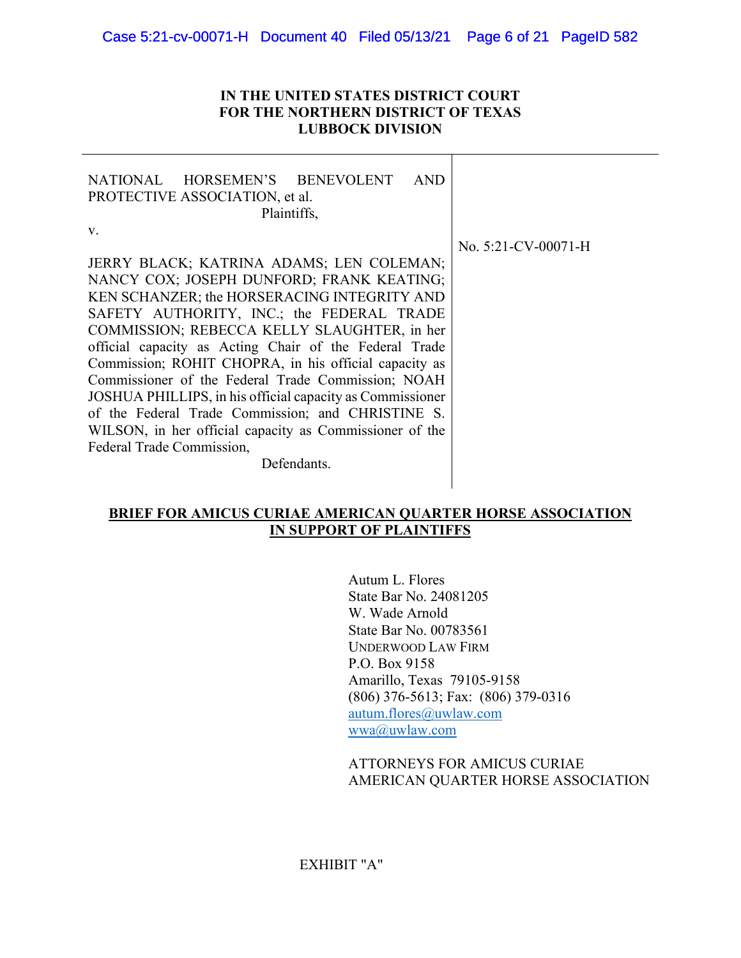## **IN THE UNITED STATES DISTRICT COURT FOR THE NORTHERN DISTRICT OF TEXAS LUBBOCK DIVISION**

| NATIONAL HORSEMEN'S BENEVOLENT<br>AND<br>PROTECTIVE ASSOCIATION, et al.<br>Plaintiffs,                                                                                                                                                                                                                                                                                                                                                                                                                                                                                                                                                   |                        |
|------------------------------------------------------------------------------------------------------------------------------------------------------------------------------------------------------------------------------------------------------------------------------------------------------------------------------------------------------------------------------------------------------------------------------------------------------------------------------------------------------------------------------------------------------------------------------------------------------------------------------------------|------------------------|
| V.<br>JERRY BLACK; KATRINA ADAMS; LEN COLEMAN;<br>NANCY COX; JOSEPH DUNFORD; FRANK KEATING;<br>KEN SCHANZER; the HORSERACING INTEGRITY AND<br>SAFETY AUTHORITY, INC.; the FEDERAL TRADE<br>COMMISSION; REBECCA KELLY SLAUGHTER, in her<br>official capacity as Acting Chair of the Federal Trade<br>Commission; ROHIT CHOPRA, in his official capacity as<br>Commissioner of the Federal Trade Commission; NOAH<br>JOSHUA PHILLIPS, in his official capacity as Commissioner<br>of the Federal Trade Commission; and CHRISTINE S.<br>WILSON, in her official capacity as Commissioner of the<br>Federal Trade Commission,<br>Defendants. | No. $5:21$ -CV-00071-H |

# **BRIEF FOR AMICUS CURIAE AMERICAN QUARTER HORSE ASSOCIATION IN SUPPORT OF PLAINTIFFS**

Autum L. Flores State Bar No. 24081205 W. Wade Arnold State Bar No. 00783561 UNDERWOOD LAW FIRM P.O. Box 9158 Amarillo, Texas 79105-9158 (806) 376-5613; Fax: (806) 379-0316 [autum.flores@uwlaw.com](mailto:autum.flores@uwlaw.com) [wwa@uwlaw.com](mailto:wwa@uwlaw.com)

## ATTORNEYS FOR AMICUS CURIAE AMERICAN QUARTER HORSE ASSOCIATION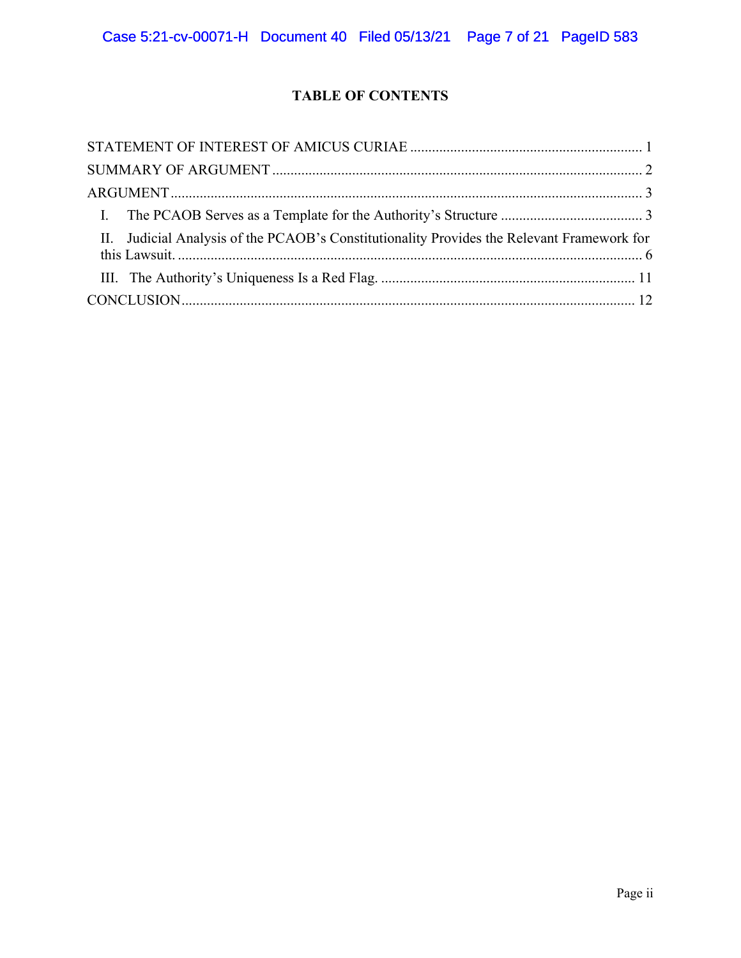# **TABLE OF CONTENTS**

| II. Judicial Analysis of the PCAOB's Constitutionality Provides the Relevant Framework for |  |
|--------------------------------------------------------------------------------------------|--|
|                                                                                            |  |
|                                                                                            |  |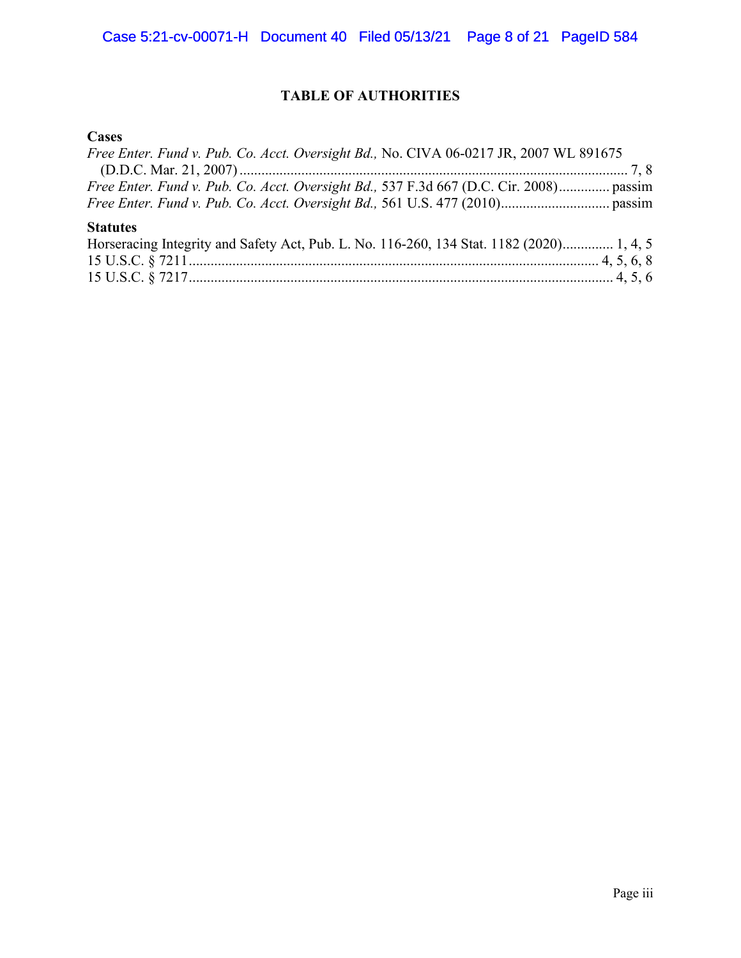# **TABLE OF AUTHORITIES**

# **Cases**

| Free Enter. Fund v. Pub. Co. Acct. Oversight Bd., No. CIVA 06-0217 JR, 2007 WL 891675    |  |
|------------------------------------------------------------------------------------------|--|
|                                                                                          |  |
| Free Enter. Fund v. Pub. Co. Acct. Oversight Bd., 537 F.3d 667 (D.C. Cir. 2008) passim   |  |
|                                                                                          |  |
|                                                                                          |  |
| <b>Statutes</b>                                                                          |  |
| Horseracing Integrity and Safety Act, Pub. L. No. 116-260, 134 Stat. 1182 (2020) 1, 4, 5 |  |
|                                                                                          |  |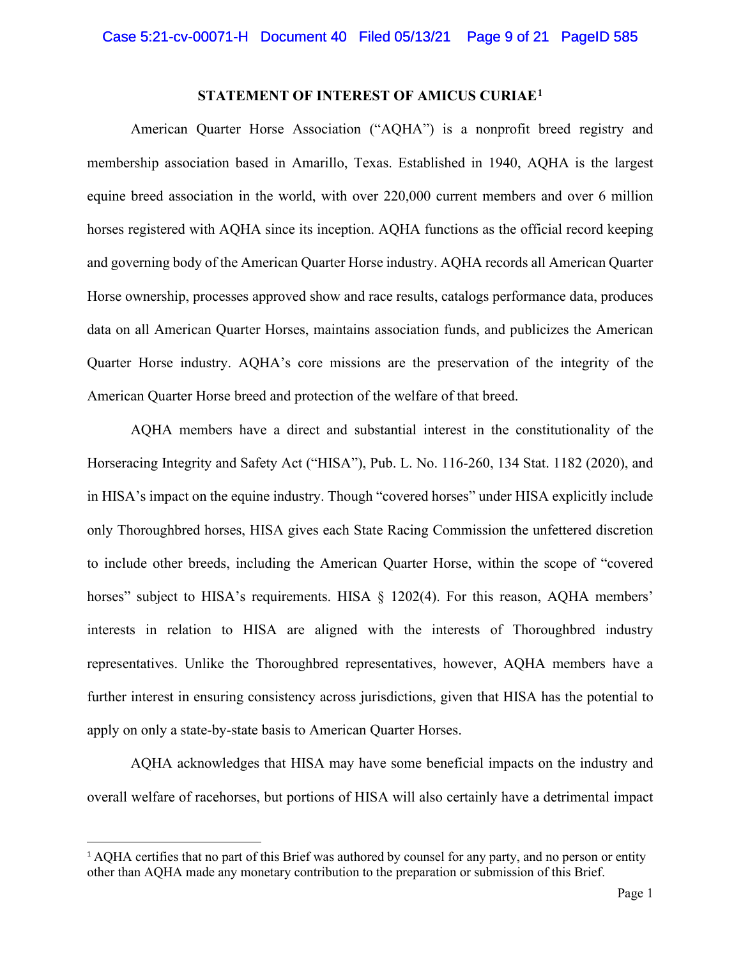## **STATEMENT OF INTEREST OF AMICUS CURIAE[1](#page-8-0)**

American Quarter Horse Association ("AQHA") is a nonprofit breed registry and membership association based in Amarillo, Texas. Established in 1940, AQHA is the largest equine breed association in the world, with over 220,000 current members and over 6 million horses registered with AQHA since its inception. AQHA functions as the official record keeping and governing body of the American Quarter Horse industry. AQHA records all American Quarter Horse ownership, processes approved show and race results, catalogs performance data, produces data on all American Quarter Horses, maintains association funds, and publicizes the American Quarter Horse industry. AQHA's core missions are the preservation of the integrity of the American Quarter Horse breed and protection of the welfare of that breed.

AQHA members have a direct and substantial interest in the constitutionality of the Horseracing Integrity and Safety Act ("HISA"), Pub. L. No. 116-260, 134 Stat. 1182 (2020), and in HISA's impact on the equine industry. Though "covered horses" under HISA explicitly include only Thoroughbred horses, HISA gives each State Racing Commission the unfettered discretion to include other breeds, including the American Quarter Horse, within the scope of "covered horses" subject to HISA's requirements. HISA § 1202(4). For this reason, AQHA members' interests in relation to HISA are aligned with the interests of Thoroughbred industry representatives. Unlike the Thoroughbred representatives, however, AQHA members have a further interest in ensuring consistency across jurisdictions, given that HISA has the potential to apply on only a state-by-state basis to American Quarter Horses.

AQHA acknowledges that HISA may have some beneficial impacts on the industry and overall welfare of racehorses, but portions of HISA will also certainly have a detrimental impact

<span id="page-8-0"></span><sup>&</sup>lt;sup>1</sup> AQHA certifies that no part of this Brief was authored by counsel for any party, and no person or entity other than AQHA made any monetary contribution to the preparation or submission of this Brief.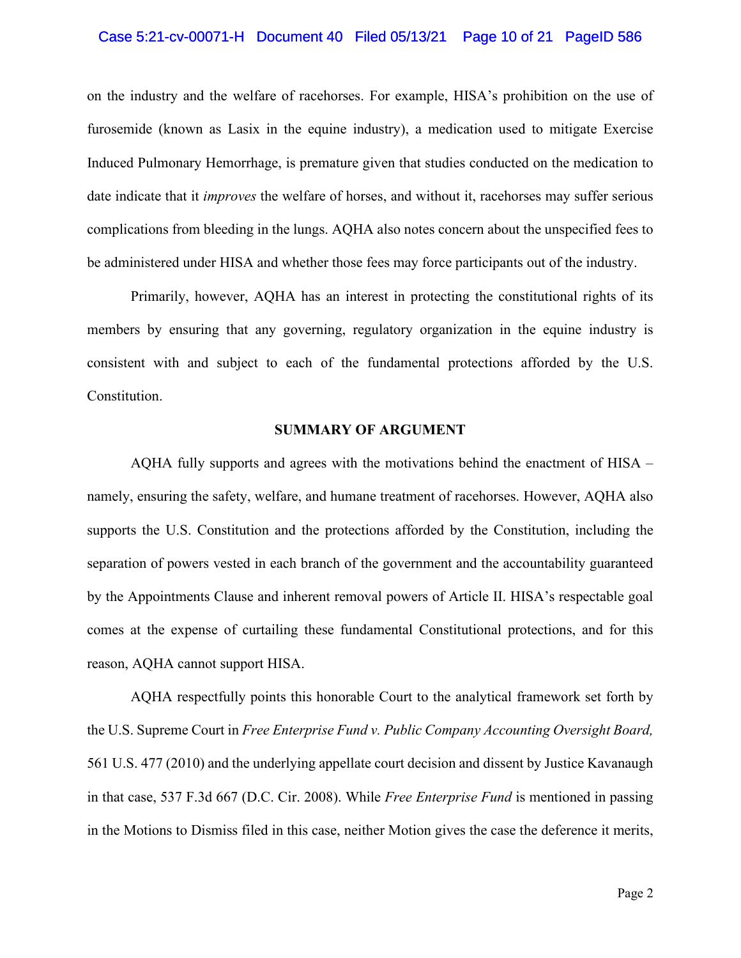#### Case 5:21-cv-00071-H Document 40 Filed 05/13/21 Page 10 of 21 PageID 586

on the industry and the welfare of racehorses. For example, HISA's prohibition on the use of furosemide (known as Lasix in the equine industry), a medication used to mitigate Exercise Induced Pulmonary Hemorrhage, is premature given that studies conducted on the medication to date indicate that it *improves* the welfare of horses, and without it, racehorses may suffer serious complications from bleeding in the lungs. AQHA also notes concern about the unspecified fees to be administered under HISA and whether those fees may force participants out of the industry.

Primarily, however, AQHA has an interest in protecting the constitutional rights of its members by ensuring that any governing, regulatory organization in the equine industry is consistent with and subject to each of the fundamental protections afforded by the U.S. Constitution.

#### **SUMMARY OF ARGUMENT**

AQHA fully supports and agrees with the motivations behind the enactment of HISA – namely, ensuring the safety, welfare, and humane treatment of racehorses. However, AQHA also supports the U.S. Constitution and the protections afforded by the Constitution, including the separation of powers vested in each branch of the government and the accountability guaranteed by the Appointments Clause and inherent removal powers of Article II. HISA's respectable goal comes at the expense of curtailing these fundamental Constitutional protections, and for this reason, AQHA cannot support HISA.

AQHA respectfully points this honorable Court to the analytical framework set forth by the U.S. Supreme Court in *Free Enterprise Fund v. Public Company Accounting Oversight Board,*  561 U.S. 477 (2010) and the underlying appellate court decision and dissent by Justice Kavanaugh in that case, 537 F.3d 667 (D.C. Cir. 2008). While *Free Enterprise Fund* is mentioned in passing in the Motions to Dismiss filed in this case, neither Motion gives the case the deference it merits,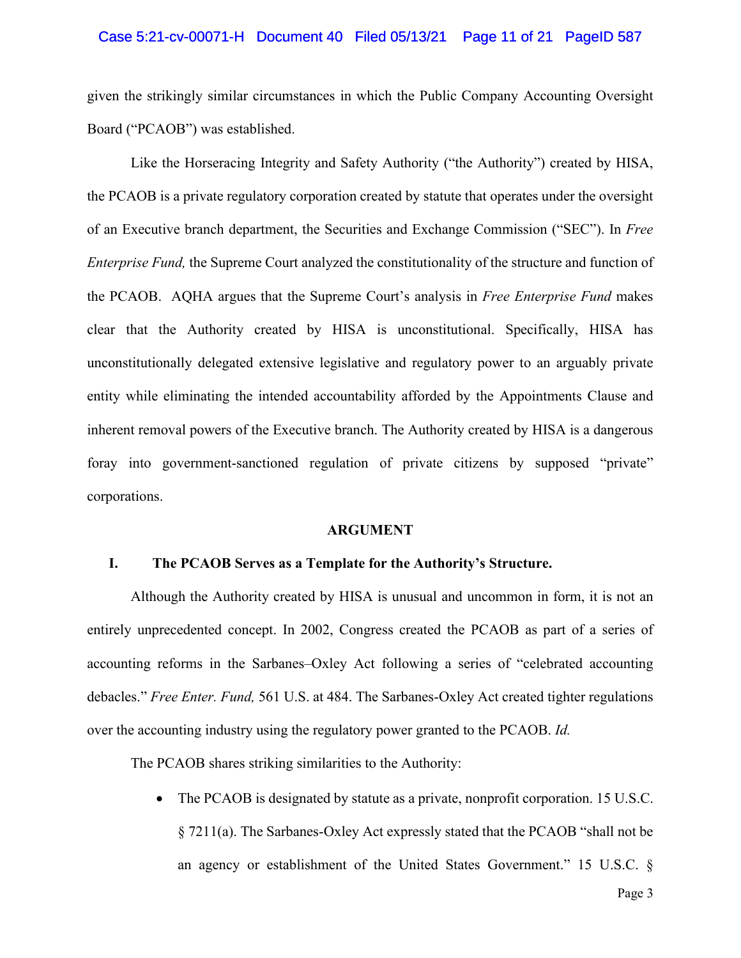#### Case 5:21-cv-00071-H Document 40 Filed 05/13/21 Page 11 of 21 PageID 587

given the strikingly similar circumstances in which the Public Company Accounting Oversight Board ("PCAOB") was established.

Like the Horseracing Integrity and Safety Authority ("the Authority") created by HISA, the PCAOB is a private regulatory corporation created by statute that operates under the oversight of an Executive branch department, the Securities and Exchange Commission ("SEC"). In *Free Enterprise Fund,* the Supreme Court analyzed the constitutionality of the structure and function of the PCAOB. AQHA argues that the Supreme Court's analysis in *Free Enterprise Fund* makes clear that the Authority created by HISA is unconstitutional. Specifically, HISA has unconstitutionally delegated extensive legislative and regulatory power to an arguably private entity while eliminating the intended accountability afforded by the Appointments Clause and inherent removal powers of the Executive branch. The Authority created by HISA is a dangerous foray into government-sanctioned regulation of private citizens by supposed "private" corporations.

#### **ARGUMENT**

#### **I. The PCAOB Serves as a Template for the Authority's Structure.**

Although the Authority created by HISA is unusual and uncommon in form, it is not an entirely unprecedented concept. In 2002, Congress created the PCAOB as part of a series of accounting reforms in the Sarbanes–Oxley Act following a series of "celebrated accounting debacles." *Free Enter. Fund,* 561 U.S. at 484. The Sarbanes-Oxley Act created tighter regulations over the accounting industry using the regulatory power granted to the PCAOB. *Id.*

The PCAOB shares striking similarities to the Authority:

The PCAOB is designated by statute as a private, nonprofit corporation. 15 U.S.C. § 7211(a). The Sarbanes-Oxley Act expressly stated that the PCAOB "shall not be an agency or establishment of the United States Government." 15 U.S.C. §

Page 3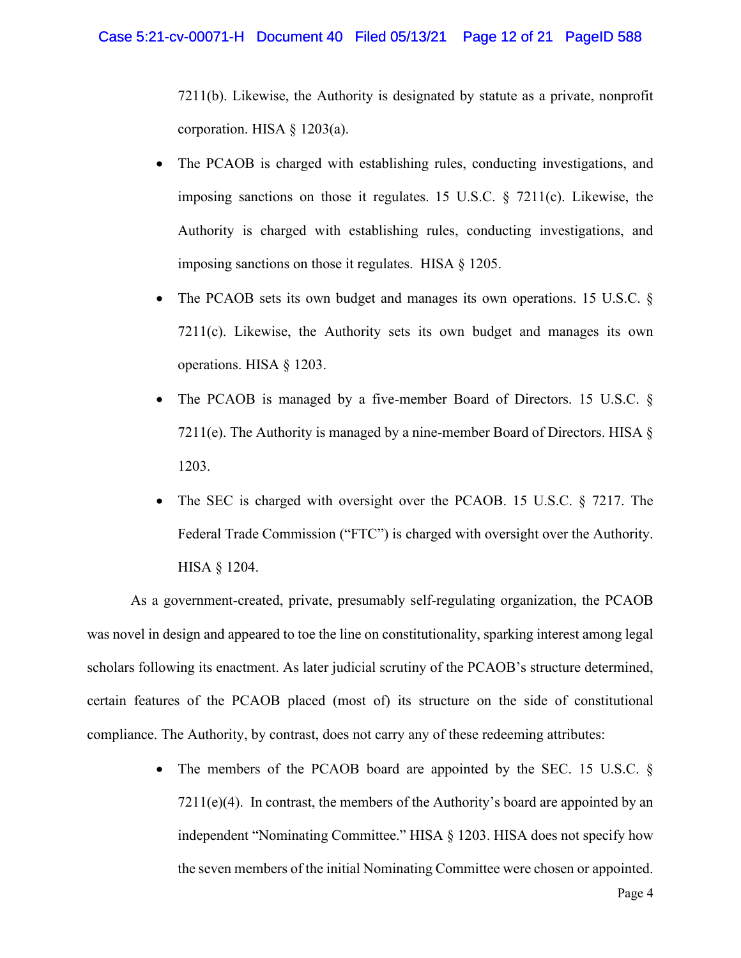7211(b). Likewise, the Authority is designated by statute as a private, nonprofit corporation. HISA § 1203(a).

- The PCAOB is charged with establishing rules, conducting investigations, and imposing sanctions on those it regulates. 15 U.S.C. § 7211(c). Likewise, the Authority is charged with establishing rules, conducting investigations, and imposing sanctions on those it regulates. HISA § 1205.
- The PCAOB sets its own budget and manages its own operations. 15 U.S.C. § 7211(c). Likewise, the Authority sets its own budget and manages its own operations. HISA § 1203.
- The PCAOB is managed by a five-member Board of Directors. 15 U.S.C. § 7211(e). The Authority is managed by a nine-member Board of Directors. HISA  $\S$ 1203.
- The SEC is charged with oversight over the PCAOB. 15 U.S.C. § 7217. The Federal Trade Commission ("FTC") is charged with oversight over the Authority. HISA § 1204.

As a government-created, private, presumably self-regulating organization, the PCAOB was novel in design and appeared to toe the line on constitutionality, sparking interest among legal scholars following its enactment. As later judicial scrutiny of the PCAOB's structure determined, certain features of the PCAOB placed (most of) its structure on the side of constitutional compliance. The Authority, by contrast, does not carry any of these redeeming attributes:

> • The members of the PCAOB board are appointed by the SEC. 15 U.S.C. §  $7211(e)(4)$ . In contrast, the members of the Authority's board are appointed by an independent "Nominating Committee." HISA § 1203. HISA does not specify how the seven members of the initial Nominating Committee were chosen or appointed.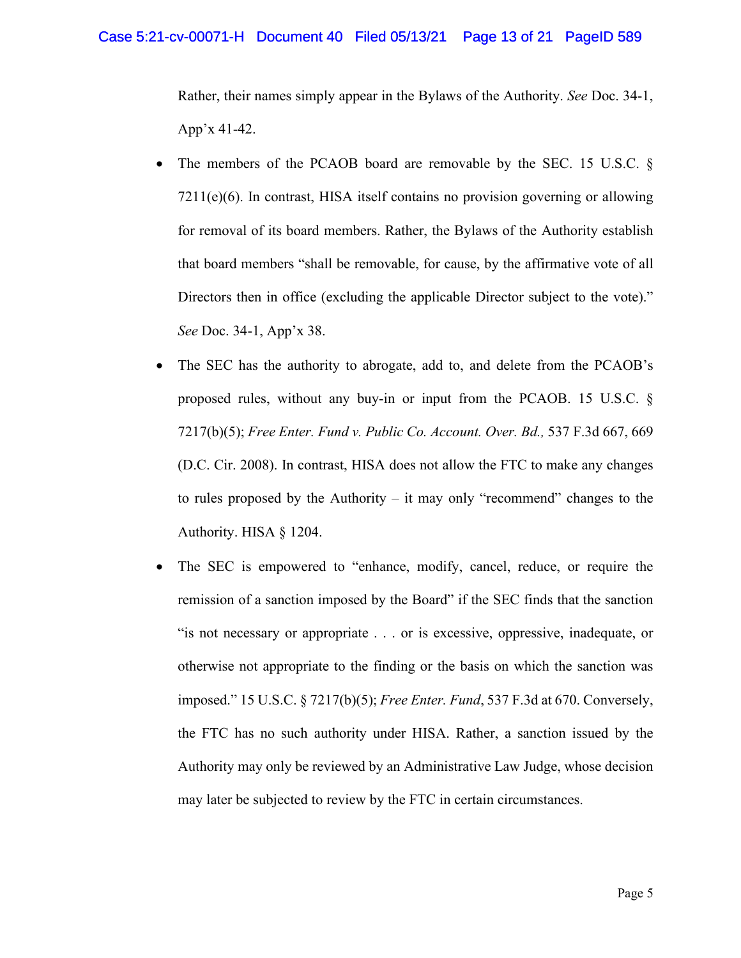Rather, their names simply appear in the Bylaws of the Authority. *See* Doc. 34-1, App'x 41-42.

- The members of the PCAOB board are removable by the SEC. 15 U.S.C. § 7211(e)(6). In contrast, HISA itself contains no provision governing or allowing for removal of its board members. Rather, the Bylaws of the Authority establish that board members "shall be removable, for cause, by the affirmative vote of all Directors then in office (excluding the applicable Director subject to the vote)." *See* Doc. 34-1, App'x 38.
- The SEC has the authority to abrogate, add to, and delete from the PCAOB's proposed rules, without any buy-in or input from the PCAOB. 15 U.S.C. § 7217(b)(5); *Free Enter. Fund v. Public Co. Account. Over. Bd.,* 537 F.3d 667, 669 (D.C. Cir. 2008). In contrast, HISA does not allow the FTC to make any changes to rules proposed by the Authority – it may only "recommend" changes to the Authority. HISA § 1204.
- The SEC is empowered to "enhance, modify, cancel, reduce, or require the remission of a sanction imposed by the Board" if the SEC finds that the sanction "is not necessary or appropriate . . . or is excessive, oppressive, inadequate, or otherwise not appropriate to the finding or the basis on which the sanction was imposed." 15 U.S.C. § 7217(b)(5); *Free Enter. Fund*, 537 F.3d at 670. Conversely, the FTC has no such authority under HISA. Rather, a sanction issued by the Authority may only be reviewed by an Administrative Law Judge, whose decision may later be subjected to review by the FTC in certain circumstances.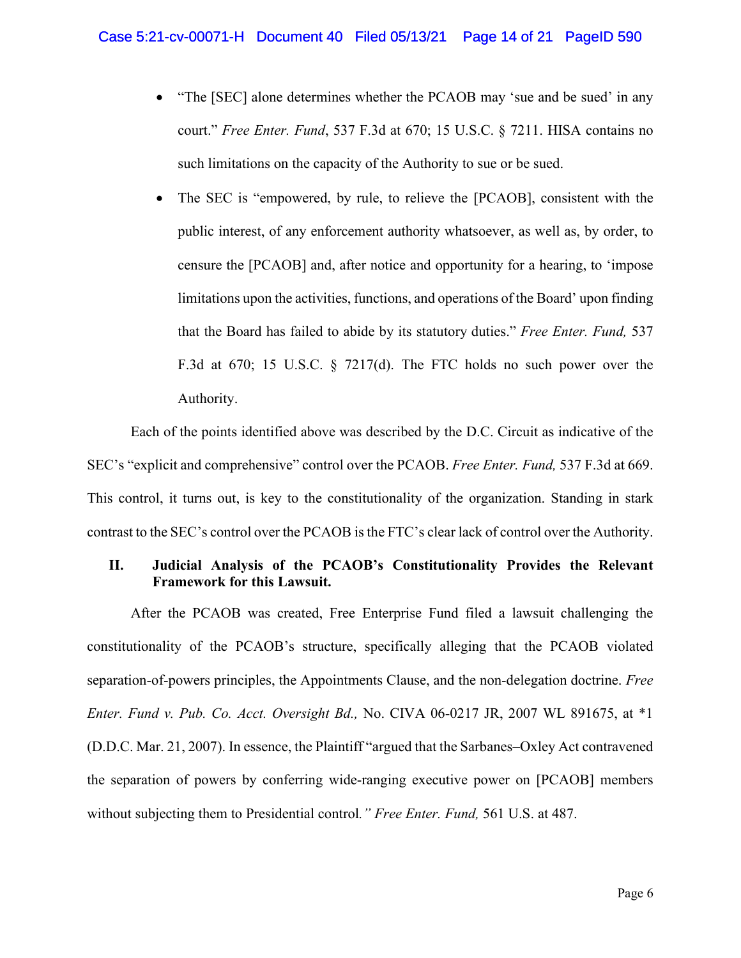- "The [SEC] alone determines whether the PCAOB may 'sue and be sued' in any court." *Free Enter. Fund*, 537 F.3d at 670; 15 U.S.C. § 7211. HISA contains no such limitations on the capacity of the Authority to sue or be sued.
- The SEC is "empowered, by rule, to relieve the [PCAOB], consistent with the public interest, of any enforcement authority whatsoever, as well as, by order, to censure the [PCAOB] and, after notice and opportunity for a hearing, to 'impose limitations upon the activities, functions, and operations of the Board' upon finding that the Board has failed to abide by its statutory duties." *Free Enter. Fund,* 537 F.3d at 670; 15 U.S.C. § 7217(d). The FTC holds no such power over the Authority.

Each of the points identified above was described by the D.C. Circuit as indicative of the SEC's "explicit and comprehensive" control over the PCAOB. *Free Enter. Fund,* 537 F.3d at 669. This control, it turns out, is key to the constitutionality of the organization. Standing in stark contrast to the SEC's control over the PCAOB is the FTC's clear lack of control over the Authority.

# **II. Judicial Analysis of the PCAOB's Constitutionality Provides the Relevant Framework for this Lawsuit.**

After the PCAOB was created, Free Enterprise Fund filed a lawsuit challenging the constitutionality of the PCAOB's structure, specifically alleging that the PCAOB violated separation-of-powers principles, the Appointments Clause, and the non-delegation doctrine. *Free Enter. Fund v. Pub. Co. Acct. Oversight Bd.,* No. CIVA 06-0217 JR, 2007 WL 891675, at \*1 (D.D.C. Mar. 21, 2007). In essence, the Plaintiff "argued that the Sarbanes–Oxley Act contravened the separation of powers by conferring wide-ranging executive power on [PCAOB] members without subjecting them to Presidential control*." Free Enter. Fund,* 561 U.S. at 487.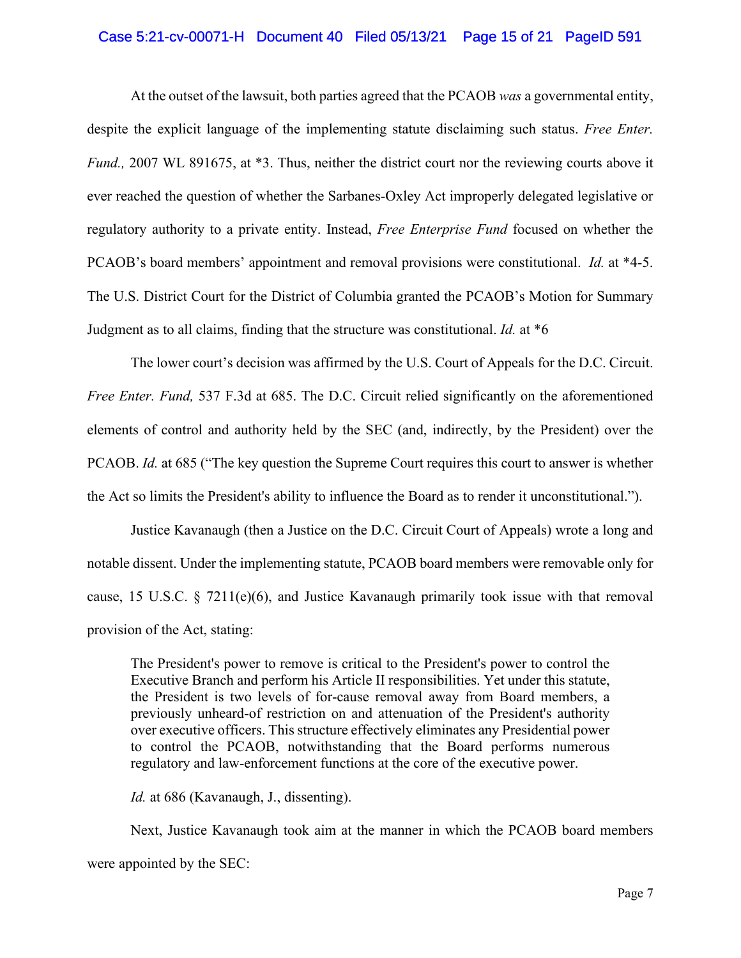## Case 5:21-cv-00071-H Document 40 Filed 05/13/21 Page 15 of 21 PageID 591

At the outset of the lawsuit, both parties agreed that the PCAOB *was* a governmental entity, despite the explicit language of the implementing statute disclaiming such status. *Free Enter. Fund.,* 2007 WL 891675, at \*3. Thus, neither the district court nor the reviewing courts above it ever reached the question of whether the Sarbanes-Oxley Act improperly delegated legislative or regulatory authority to a private entity. Instead, *Free Enterprise Fund* focused on whether the PCAOB's board members' appointment and removal provisions were constitutional. *Id.* at \*4-5. The U.S. District Court for the District of Columbia granted the PCAOB's Motion for Summary Judgment as to all claims, finding that the structure was constitutional. *Id.* at \*6

The lower court's decision was affirmed by the U.S. Court of Appeals for the D.C. Circuit. *Free Enter. Fund,* 537 F.3d at 685. The D.C. Circuit relied significantly on the aforementioned elements of control and authority held by the SEC (and, indirectly, by the President) over the PCAOB. *Id.* at 685 ("The key question the Supreme Court requires this court to answer is whether the Act so limits the President's ability to influence the Board as to render it unconstitutional.").

Justice Kavanaugh (then a Justice on the D.C. Circuit Court of Appeals) wrote a long and notable dissent. Under the implementing statute, PCAOB board members were removable only for cause, 15 U.S.C. § 7211(e)(6), and Justice Kavanaugh primarily took issue with that removal provision of the Act, stating:

The President's power to remove is critical to the President's power to control the Executive Branch and perform his Article II responsibilities. Yet under this statute, the President is two levels of for-cause removal away from Board members, a previously unheard-of restriction on and attenuation of the President's authority over executive officers. This structure effectively eliminates any Presidential power to control the PCAOB, notwithstanding that the Board performs numerous regulatory and law-enforcement functions at the core of the executive power.

*Id.* at 686 (Kavanaugh, J., dissenting).

Next, Justice Kavanaugh took aim at the manner in which the PCAOB board members were appointed by the SEC: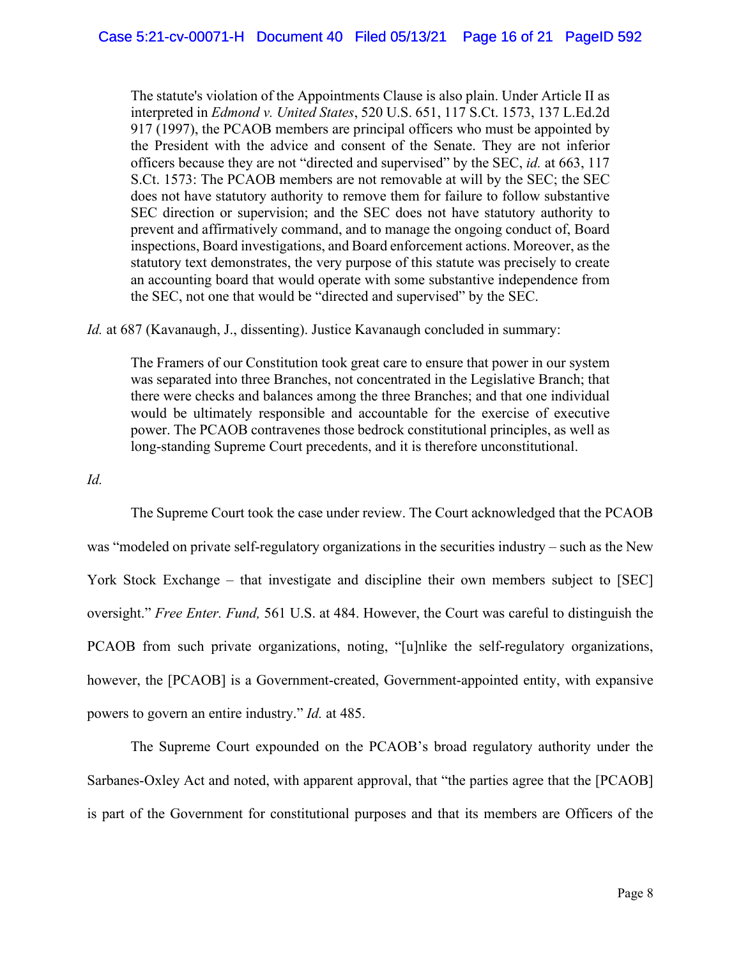The statute's violation of the Appointments Clause is also plain. Under Article II as interpreted in *Edmond v. United States*, 520 U.S. 651, 117 S.Ct. 1573, 137 L.Ed.2d 917 (1997), the PCAOB members are principal officers who must be appointed by the President with the advice and consent of the Senate. They are not inferior officers because they are not "directed and supervised" by the SEC, *id.* at 663, 117 S.Ct. 1573: The PCAOB members are not removable at will by the SEC; the SEC does not have statutory authority to remove them for failure to follow substantive SEC direction or supervision; and the SEC does not have statutory authority to prevent and affirmatively command, and to manage the ongoing conduct of, Board inspections, Board investigations, and Board enforcement actions. Moreover, as the statutory text demonstrates, the very purpose of this statute was precisely to create an accounting board that would operate with some substantive independence from the SEC, not one that would be "directed and supervised" by the SEC.

*Id.* at 687 (Kavanaugh, J., dissenting). Justice Kavanaugh concluded in summary:

The Framers of our Constitution took great care to ensure that power in our system was separated into three Branches, not concentrated in the Legislative Branch; that there were checks and balances among the three Branches; and that one individual would be ultimately responsible and accountable for the exercise of executive power. The PCAOB contravenes those bedrock constitutional principles, as well as long-standing Supreme Court precedents, and it is therefore unconstitutional.

*Id.* 

The Supreme Court took the case under review. The Court acknowledged that the PCAOB was "modeled on private self-regulatory organizations in the securities industry – such as the New York Stock Exchange – that investigate and discipline their own members subject to [SEC] oversight." *Free Enter. Fund,* 561 U.S. at 484. However, the Court was careful to distinguish the PCAOB from such private organizations, noting, "[u]nlike the self-regulatory organizations, however, the [PCAOB] is a Government-created, Government-appointed entity, with expansive powers to govern an entire industry." *Id.* at 485.

The Supreme Court expounded on the PCAOB's broad regulatory authority under the Sarbanes-Oxley Act and noted, with apparent approval, that "the parties agree that the [PCAOB] is part of the Government for constitutional purposes and that its members are Officers of the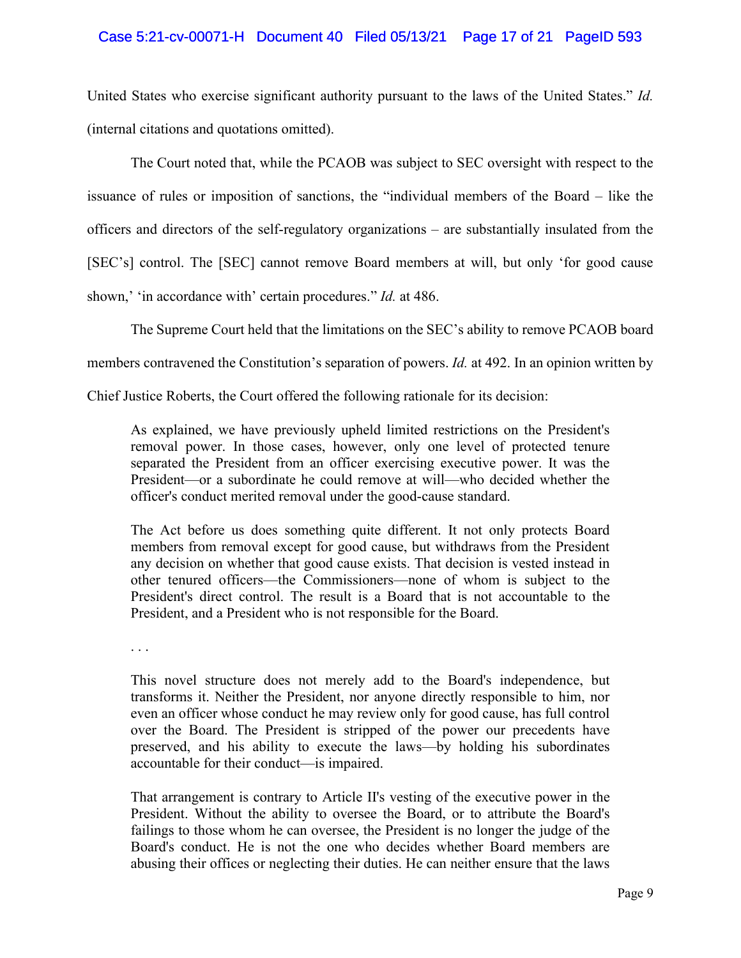## Case 5:21-cv-00071-H Document 40 Filed 05/13/21 Page 17 of 21 PageID 593

United States who exercise significant authority pursuant to the laws of the United States." *Id.* (internal citations and quotations omitted).

The Court noted that, while the PCAOB was subject to SEC oversight with respect to the issuance of rules or imposition of sanctions, the "individual members of the Board – like the officers and directors of the self-regulatory organizations – are substantially insulated from the [SEC's] control. The [SEC] cannot remove Board members at will, but only 'for good cause shown,' 'in accordance with' certain procedures." *Id.* at 486.

The Supreme Court held that the limitations on the SEC's ability to remove PCAOB board

members contravened the Constitution's separation of powers. *Id.* at 492. In an opinion written by

Chief Justice Roberts, the Court offered the following rationale for its decision:

As explained, we have previously upheld limited restrictions on the President's removal power. In those cases, however, only one level of protected tenure separated the President from an officer exercising executive power. It was the President—or a subordinate he could remove at will—who decided whether the officer's conduct merited removal under the good-cause standard.

The Act before us does something quite different. It not only protects Board members from removal except for good cause, but withdraws from the President any decision on whether that good cause exists. That decision is vested instead in other tenured officers—the Commissioners—none of whom is subject to the President's direct control. The result is a Board that is not accountable to the President, and a President who is not responsible for the Board.

. . .

This novel structure does not merely add to the Board's independence, but transforms it. Neither the President, nor anyone directly responsible to him, nor even an officer whose conduct he may review only for good cause, has full control over the Board. The President is stripped of the power our precedents have preserved, and his ability to execute the laws—by holding his subordinates accountable for their conduct—is impaired.

That arrangement is contrary to Article II's vesting of the executive power in the President. Without the ability to oversee the Board, or to attribute the Board's failings to those whom he can oversee, the President is no longer the judge of the Board's conduct. He is not the one who decides whether Board members are abusing their offices or neglecting their duties. He can neither ensure that the laws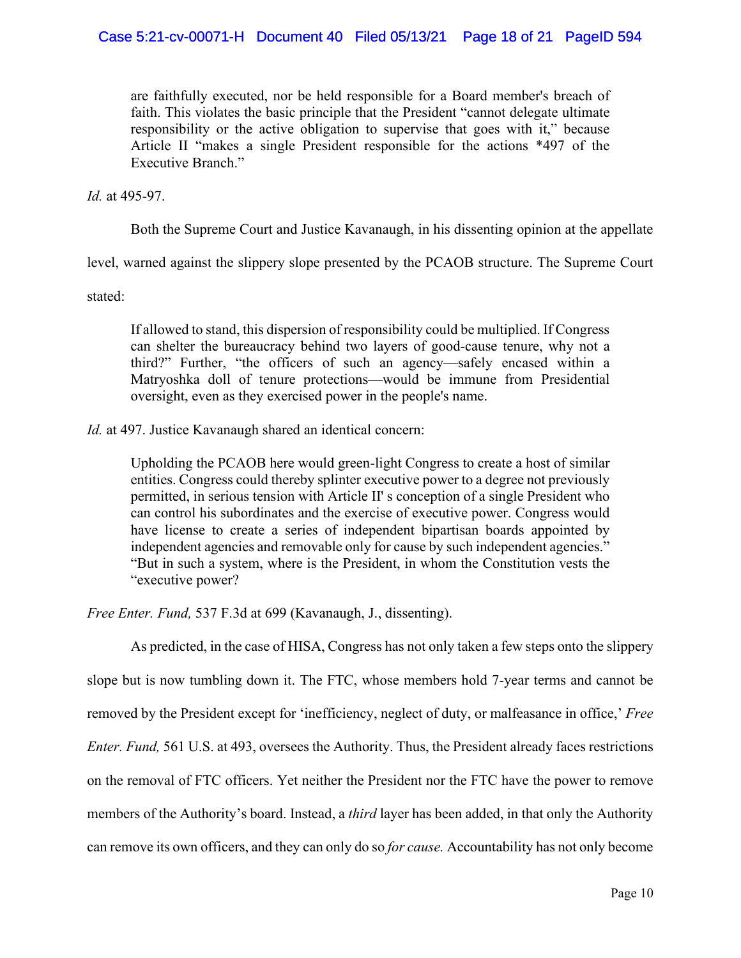are faithfully executed, nor be held responsible for a Board member's breach of faith. This violates the basic principle that the President "cannot delegate ultimate responsibility or the active obligation to supervise that goes with it," because Article II "makes a single President responsible for the actions \*497 of the Executive Branch."

*Id.* at 495-97.

Both the Supreme Court and Justice Kavanaugh, in his dissenting opinion at the appellate

level, warned against the slippery slope presented by the PCAOB structure. The Supreme Court

stated:

If allowed to stand, this dispersion of responsibility could be multiplied. If Congress can shelter the bureaucracy behind two layers of good-cause tenure, why not a third?" Further, "the officers of such an agency—safely encased within a Matryoshka doll of tenure protections—would be immune from Presidential oversight, even as they exercised power in the people's name.

*Id.* at 497. Justice Kavanaugh shared an identical concern:

Upholding the PCAOB here would green-light Congress to create a host of similar entities. Congress could thereby splinter executive power to a degree not previously permitted, in serious tension with Article II' s conception of a single President who can control his subordinates and the exercise of executive power. Congress would have license to create a series of independent bipartisan boards appointed by independent agencies and removable only for cause by such independent agencies." "But in such a system, where is the President, in whom the Constitution vests the "executive power?

*Free Enter. Fund,* 537 F.3d at 699 (Kavanaugh, J., dissenting).

As predicted, in the case of HISA, Congress has not only taken a few steps onto the slippery slope but is now tumbling down it. The FTC, whose members hold 7-year terms and cannot be removed by the President except for 'inefficiency, neglect of duty, or malfeasance in office,' *Free Enter. Fund,* 561 U.S. at 493, oversees the Authority. Thus, the President already faces restrictions on the removal of FTC officers. Yet neither the President nor the FTC have the power to remove members of the Authority's board. Instead, a *third* layer has been added, in that only the Authority can remove its own officers, and they can only do so *for cause.* Accountability has not only become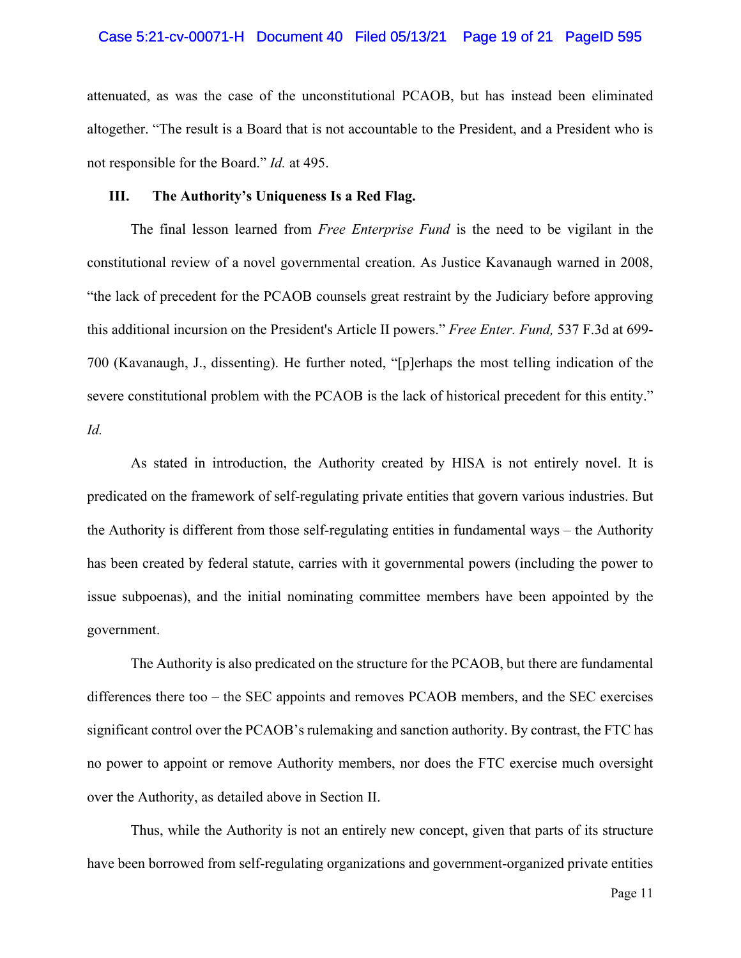#### Case 5:21-cv-00071-H Document 40 Filed 05/13/21 Page 19 of 21 PageID 595

attenuated, as was the case of the unconstitutional PCAOB, but has instead been eliminated altogether. "The result is a Board that is not accountable to the President, and a President who is not responsible for the Board." *Id.* at 495.

#### **III. The Authority's Uniqueness Is a Red Flag.**

The final lesson learned from *Free Enterprise Fund* is the need to be vigilant in the constitutional review of a novel governmental creation. As Justice Kavanaugh warned in 2008, "the lack of precedent for the PCAOB counsels great restraint by the Judiciary before approving this additional incursion on the President's Article II powers." *Free Enter. Fund,* 537 F.3d at 699- 700 (Kavanaugh, J., dissenting). He further noted, "[p]erhaps the most telling indication of the severe constitutional problem with the PCAOB is the lack of historical precedent for this entity." *Id.* 

As stated in introduction, the Authority created by HISA is not entirely novel. It is predicated on the framework of self-regulating private entities that govern various industries. But the Authority is different from those self-regulating entities in fundamental ways – the Authority has been created by federal statute, carries with it governmental powers (including the power to issue subpoenas), and the initial nominating committee members have been appointed by the government.

The Authority is also predicated on the structure for the PCAOB, but there are fundamental differences there too – the SEC appoints and removes PCAOB members, and the SEC exercises significant control over the PCAOB's rulemaking and sanction authority. By contrast, the FTC has no power to appoint or remove Authority members, nor does the FTC exercise much oversight over the Authority, as detailed above in Section II.

Thus, while the Authority is not an entirely new concept, given that parts of its structure have been borrowed from self-regulating organizations and government-organized private entities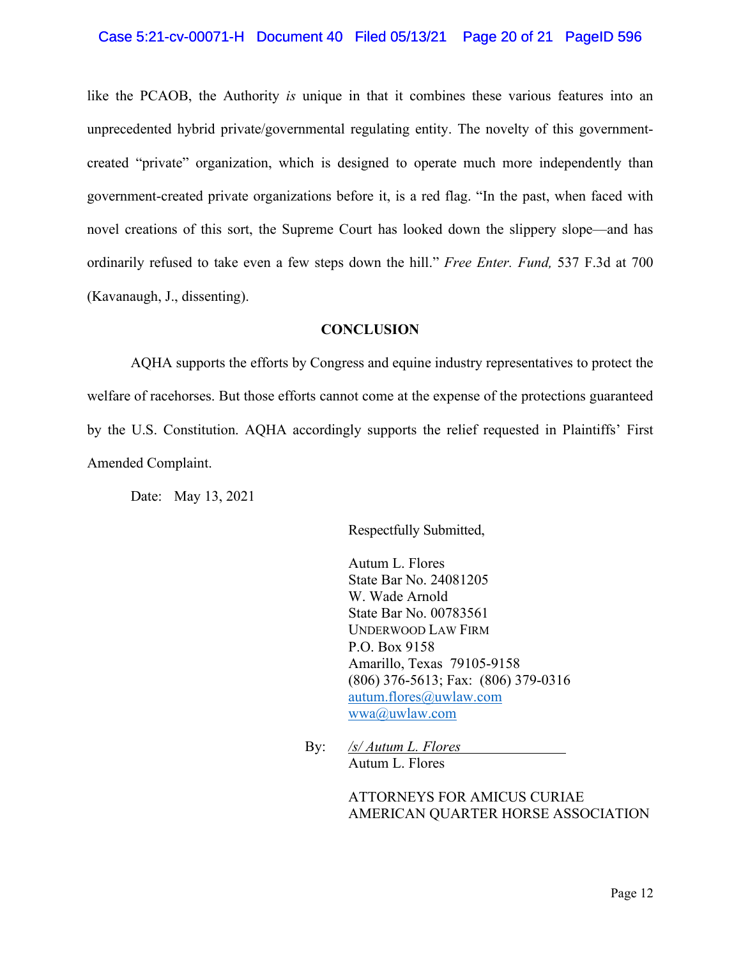## Case 5:21-cv-00071-H Document 40 Filed 05/13/21 Page 20 of 21 PageID 596

like the PCAOB, the Authority *is* unique in that it combines these various features into an unprecedented hybrid private/governmental regulating entity. The novelty of this governmentcreated "private" organization, which is designed to operate much more independently than government-created private organizations before it, is a red flag. "In the past, when faced with novel creations of this sort, the Supreme Court has looked down the slippery slope—and has ordinarily refused to take even a few steps down the hill." *Free Enter. Fund,* 537 F.3d at 700 (Kavanaugh, J., dissenting).

#### **CONCLUSION**

AQHA supports the efforts by Congress and equine industry representatives to protect the welfare of racehorses. But those efforts cannot come at the expense of the protections guaranteed by the U.S. Constitution. AQHA accordingly supports the relief requested in Plaintiffs' First Amended Complaint.

Date: May 13, 2021

Respectfully Submitted,

Autum L. Flores State Bar No. 24081205 W. Wade Arnold State Bar No. 00783561 UNDERWOOD LAW FIRM P.O. Box 9158 Amarillo, Texas 79105-9158 (806) 376-5613; Fax: (806) 379-0316 [autum.flores@uwlaw.com](mailto:autum.flores@uwlaw.com) [wwa@uwlaw.com](mailto:wwa@uwlaw.com)

By: */s/ Autum L. Flores* Autum L. Flores

> ATTORNEYS FOR AMICUS CURIAE AMERICAN QUARTER HORSE ASSOCIATION